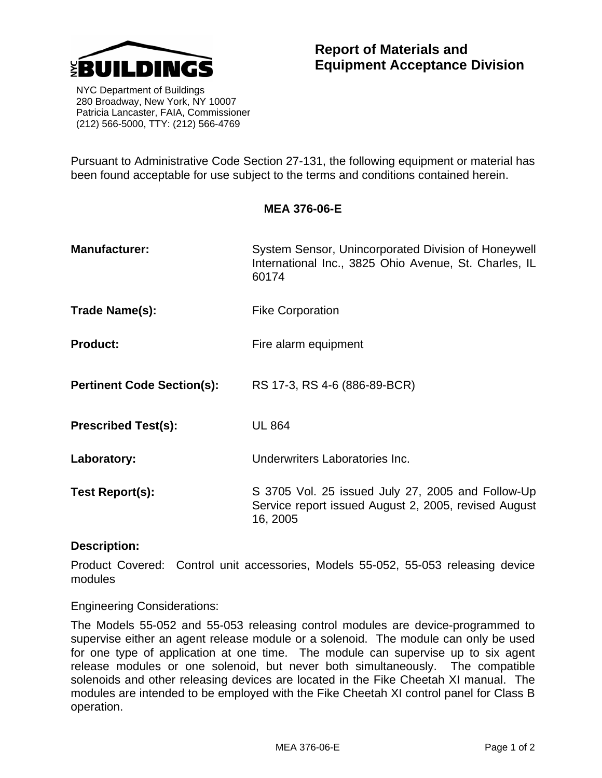

 NYC Department of Buildings 280 Broadway, New York, NY 10007 Patricia Lancaster, FAIA, Commissioner (212) 566-5000, TTY: (212) 566-4769

Pursuant to Administrative Code Section 27-131, the following equipment or material has been found acceptable for use subject to the terms and conditions contained herein.

**MEA 376-06-E** 

| <b>Manufacturer:</b>              | System Sensor, Unincorporated Division of Honeywell<br>International Inc., 3825 Ohio Avenue, St. Charles, IL          |
|-----------------------------------|-----------------------------------------------------------------------------------------------------------------------|
|                                   | 60174                                                                                                                 |
| Trade Name(s):                    | <b>Fike Corporation</b>                                                                                               |
| <b>Product:</b>                   | Fire alarm equipment                                                                                                  |
| <b>Pertinent Code Section(s):</b> | RS 17-3, RS 4-6 (886-89-BCR)                                                                                          |
| <b>Prescribed Test(s):</b>        | <b>UL 864</b>                                                                                                         |
| Laboratory:                       | Underwriters Laboratories Inc.                                                                                        |
| <b>Test Report(s):</b>            | S 3705 Vol. 25 issued July 27, 2005 and Follow-Up<br>Service report issued August 2, 2005, revised August<br>16, 2005 |

## **Description:**

Product Covered: Control unit accessories, Models 55-052, 55-053 releasing device modules

Engineering Considerations:

The Models 55-052 and 55-053 releasing control modules are device-programmed to supervise either an agent release module or a solenoid. The module can only be used for one type of application at one time. The module can supervise up to six agent release modules or one solenoid, but never both simultaneously. The compatible solenoids and other releasing devices are located in the Fike Cheetah XI manual. The modules are intended to be employed with the Fike Cheetah XI control panel for Class B operation.